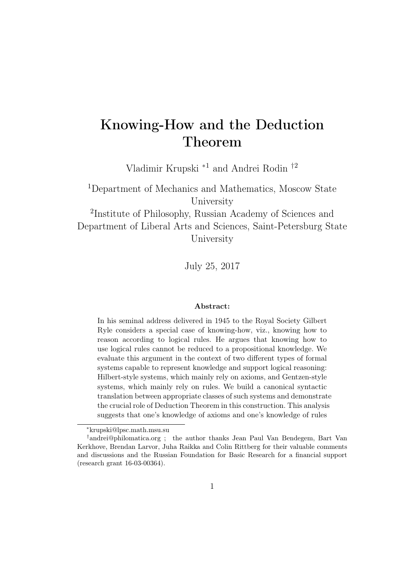# Knowing-How and the Deduction Theorem

Vladimir Krupski <sup>∗</sup><sup>1</sup> and Andrei Rodin †<sup>2</sup>

<sup>1</sup>Department of Mechanics and Mathematics, Moscow State University

2 Institute of Philosophy, Russian Academy of Sciences and Department of Liberal Arts and Sciences, Saint-Petersburg State University

July 25, 2017

#### Abstract:

In his seminal address delivered in 1945 to the Royal Society Gilbert Ryle considers a special case of knowing-how, viz., knowing how to reason according to logical rules. He argues that knowing how to use logical rules cannot be reduced to a propositional knowledge. We evaluate this argument in the context of two different types of formal systems capable to represent knowledge and support logical reasoning: Hilbert-style systems, which mainly rely on axioms, and Gentzen-style systems, which mainly rely on rules. We build a canonical syntactic translation between appropriate classes of such systems and demonstrate the crucial role of Deduction Theorem in this construction. This analysis suggests that one's knowledge of axioms and one's knowledge of rules

<sup>∗</sup>krupski@lpsc.math.msu.su

<sup>†</sup>andrei@philomatica.org ; the author thanks Jean Paul Van Bendegem, Bart Van Kerkhove, Brendan Larvor, Juha Raikka and Colin Rittberg for their valuable comments and discussions and the Russian Foundation for Basic Research for a financial support (research grant 16-03-00364).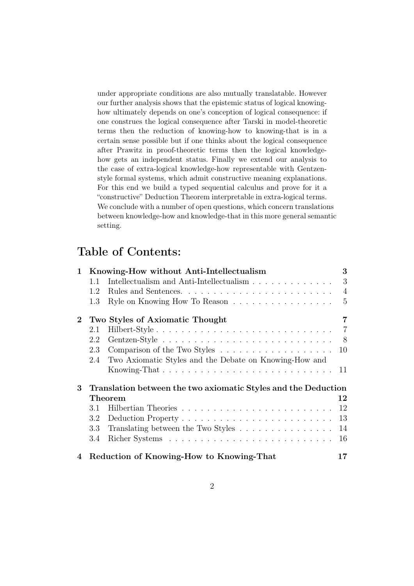under appropriate conditions are also mutually translatable. However our further analysis shows that the epistemic status of logical knowinghow ultimately depends on one's conception of logical consequence: if one construes the logical consequence after Tarski in model-theoretic terms then the reduction of knowing-how to knowing-that is in a certain sense possible but if one thinks about the logical consequence after Prawitz in proof-theoretic terms then the logical knowledgehow gets an independent status. Finally we extend our analysis to the case of extra-logical knowledge-how representable with Gentzenstyle formal systems, which admit constructive meaning explanations. For this end we build a typed sequential calculus and prove for it a "constructive" Deduction Theorem interpretable in extra-logical terms. We conclude with a number of open questions, which concern translations between knowledge-how and knowledge-that in this more general semantic setting.

# Table of Contents:

| $\mathbf{1}$   | Knowing-How without Anti-Intellectualism                                      | 3              |
|----------------|-------------------------------------------------------------------------------|----------------|
|                | Intellectualism and Anti-Intellectualism<br>1.1                               | 3              |
|                | 1.2                                                                           | $\overline{4}$ |
|                | Ryle on Knowing How To Reason<br>1.3                                          | $\overline{5}$ |
| $\overline{2}$ | Two Styles of Axiomatic Thought                                               | 7              |
|                | 2.1                                                                           | $\overline{7}$ |
|                | 2.2                                                                           | - 8            |
|                | 2.3                                                                           | 10             |
|                | Two Axiomatic Styles and the Debate on Knowing-How and<br>2.4                 |                |
|                | Knowing-That $\ldots \ldots \ldots \ldots \ldots \ldots \ldots \ldots \ldots$ | -11            |
| 3              | Translation between the two axiomatic Styles and the Deduction                |                |
|                | Theorem                                                                       | 12             |
|                | 3.1                                                                           | 12             |
|                | 3.2                                                                           | 13             |
|                | Translating between the Two Styles<br>3.3                                     | 14             |
|                | 3.4                                                                           | 16             |
| 4              | Reduction of Knowing-How to Knowing-That                                      | 17             |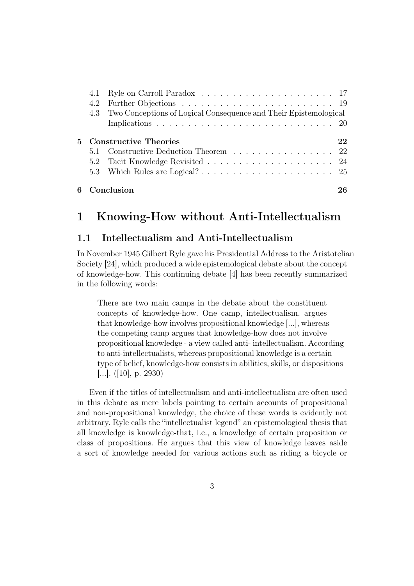|     | 22                                                                                                                                                        |
|-----|-----------------------------------------------------------------------------------------------------------------------------------------------------------|
|     |                                                                                                                                                           |
|     |                                                                                                                                                           |
| 4.2 |                                                                                                                                                           |
|     |                                                                                                                                                           |
|     | 4.3 Two Conceptions of Logical Consequence and Their Epistemological<br>5 Constructive Theories<br>5.1 Constructive Deduction Theorem  22<br>6 Conclusion |

# 1 Knowing-How without Anti-Intellectualism

## 1.1 Intellectualism and Anti-Intellectualism

In November 1945 Gilbert Ryle gave his Presidential Address to the Aristotelian Society [24], which produced a wide epistemological debate about the concept of knowledge-how. This continuing debate [4] has been recently summarized in the following words:

There are two main camps in the debate about the constituent concepts of knowledge-how. One camp, intellectualism, argues that knowledge-how involves propositional knowledge [...], whereas the competing camp argues that knowledge-how does not involve propositional knowledge - a view called anti- intellectualism. According to anti-intellectualists, whereas propositional knowledge is a certain type of belief, knowledge-how consists in abilities, skills, or dispositions [...]. ([10], p. 2930)

Even if the titles of intellectualism and anti-intellectualism are often used in this debate as mere labels pointing to certain accounts of propositional and non-propositional knowledge, the choice of these words is evidently not arbitrary. Ryle calls the "intellectualist legend" an epistemological thesis that all knowledge is knowledge-that, i.e., a knowledge of certain proposition or class of propositions. He argues that this view of knowledge leaves aside a sort of knowledge needed for various actions such as riding a bicycle or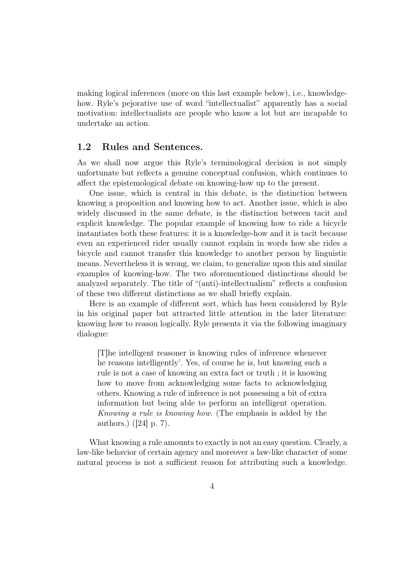making logical inferences (more on this last example below), i.e., knowledgehow. Ryle's pejorative use of word "intellectualist" apparently has a social motivation: intellectualists are people who know a lot but are incapable to undertake an action.

### 1.2 Rules and Sentences.

As we shall now argue this Ryle's terminological decision is not simply unfortunate but reflects a genuine conceptual confusion, which continues to affect the epistemological debate on knowing-how up to the present.

One issue, which is central in this debate, is the distinction between knowing a proposition and knowing how to act. Another issue, which is also widely discussed in the same debate, is the distinction between tacit and explicit knowledge. The popular example of knowing how to ride a bicycle instantiates both these features: it is a knowledge-how and it is tacit because even an experienced rider usually cannot explain in words how she rides a bicycle and cannot transfer this knowledge to another person by linguistic means. Nevertheless it is wrong, we claim, to generalize upon this and similar examples of knowing-how. The two aforementioned distinctions should be analyzed separately. The title of "(anti)-intellectualism" reflects a confusion of these two different distinctions as we shall briefly explain.

Here is an example of different sort, which has been considered by Ryle in his original paper but attracted little attention in the later literature: knowing how to reason logically. Ryle presents it via the following imaginary dialogue:

[T]he intelligent reasoner is knowing rules of inference whenever he reasons intelligently'. Yes, of course he is, but knowing such a rule is not a case of knowing an extra fact or truth ; it is knowing how to move from acknowledging some facts to acknowledging others. Knowing a rule of inference is not possessing a bit of extra information but being able to perform an intelligent operation. Knowing a rule is knowing how. (The emphasis is added by the authors.) ([24] p. 7).

What knowing a rule amounts to exactly is not an easy question. Clearly, a law-like behavior of certain agency and moreover a law-like character of some natural process is not a sufficient reason for attributing such a knowledge.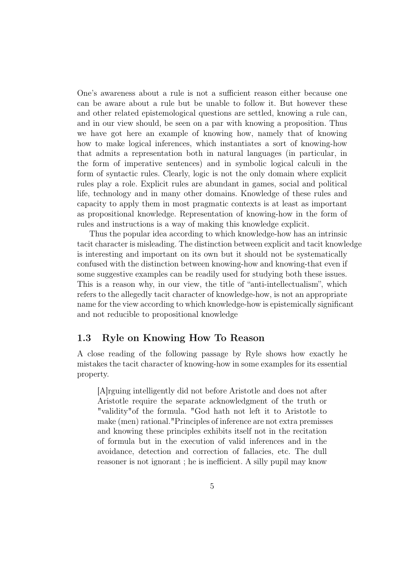One's awareness about a rule is not a sufficient reason either because one can be aware about a rule but be unable to follow it. But however these and other related epistemological questions are settled, knowing a rule can, and in our view should, be seen on a par with knowing a proposition. Thus we have got here an example of knowing how, namely that of knowing how to make logical inferences, which instantiates a sort of knowing-how that admits a representation both in natural languages (in particular, in the form of imperative sentences) and in symbolic logical calculi in the form of syntactic rules. Clearly, logic is not the only domain where explicit rules play a role. Explicit rules are abundant in games, social and political life, technology and in many other domains. Knowledge of these rules and capacity to apply them in most pragmatic contexts is at least as important as propositional knowledge. Representation of knowing-how in the form of rules and instructions is a way of making this knowledge explicit.

Thus the popular idea according to which knowledge-how has an intrinsic tacit character is misleading. The distinction between explicit and tacit knowledge is interesting and important on its own but it should not be systematically confused with the distinction between knowing-how and knowing-that even if some suggestive examples can be readily used for studying both these issues. This is a reason why, in our view, the title of "anti-intellectualism", which refers to the allegedly tacit character of knowledge-how, is not an appropriate name for the view according to which knowledge-how is epistemically significant and not reducible to propositional knowledge

## 1.3 Ryle on Knowing How To Reason

A close reading of the following passage by Ryle shows how exactly he mistakes the tacit character of knowing-how in some examples for its essential property.

[A]rguing intelligently did not before Aristotle and does not after Aristotle require the separate acknowledgment of the truth or "validity"of the formula. "God hath not left it to Aristotle to make (men) rational."Principles of inference are not extra premisses and knowing these principles exhibits itself not in the recitation of formula but in the execution of valid inferences and in the avoidance, detection and correction of fallacies, etc. The dull reasoner is not ignorant ; he is inefficient. A silly pupil may know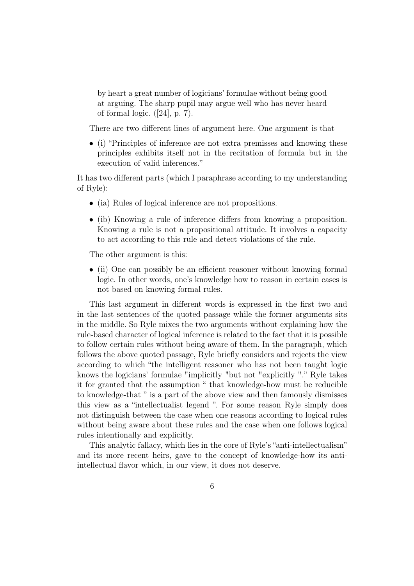by heart a great number of logicians' formulae without being good at arguing. The sharp pupil may argue well who has never heard of formal logic.  $([24], p. 7)$ .

There are two different lines of argument here. One argument is that

• (i) "Principles of inference are not extra premisses and knowing these principles exhibits itself not in the recitation of formula but in the execution of valid inferences."

It has two different parts (which I paraphrase according to my understanding of Ryle):

- (ia) Rules of logical inference are not propositions.
- (ib) Knowing a rule of inference differs from knowing a proposition. Knowing a rule is not a propositional attitude. It involves a capacity to act according to this rule and detect violations of the rule.

The other argument is this:

• (ii) One can possibly be an efficient reasoner without knowing formal logic. In other words, one's knowledge how to reason in certain cases is not based on knowing formal rules.

This last argument in different words is expressed in the first two and in the last sentences of the quoted passage while the former arguments sits in the middle. So Ryle mixes the two arguments without explaining how the rule-based character of logical inference is related to the fact that it is possible to follow certain rules without being aware of them. In the paragraph, which follows the above quoted passage, Ryle briefly considers and rejects the view according to which "the intelligent reasoner who has not been taught logic knows the logicians' formulae "implicitly "but not "explicitly "." Ryle takes it for granted that the assumption " that knowledge-how must be reducible to knowledge-that " is a part of the above view and then famously dismisses this view as a "intellectualist legend ". For some reason Ryle simply does not distinguish between the case when one reasons according to logical rules without being aware about these rules and the case when one follows logical rules intentionally and explicitly.

This analytic fallacy, which lies in the core of Ryle's "anti-intellectualism" and its more recent heirs, gave to the concept of knowledge-how its antiintellectual flavor which, in our view, it does not deserve.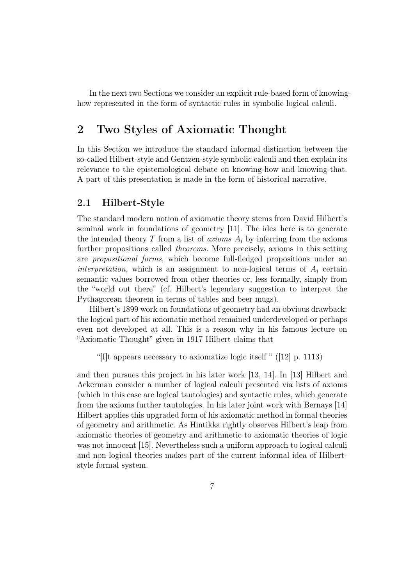In the next two Sections we consider an explicit rule-based form of knowinghow represented in the form of syntactic rules in symbolic logical calculi.

# 2 Two Styles of Axiomatic Thought

In this Section we introduce the standard informal distinction between the so-called Hilbert-style and Gentzen-style symbolic calculi and then explain its relevance to the epistemological debate on knowing-how and knowing-that. A part of this presentation is made in the form of historical narrative.

## 2.1 Hilbert-Style

The standard modern notion of axiomatic theory stems from David Hilbert's seminal work in foundations of geometry [11]. The idea here is to generate the intended theory T from a list of *axioms*  $A_i$  by inferring from the axioms further propositions called theorems. More precisely, axioms in this setting are propositional forms, which become full-fledged propositions under an interpretation, which is an assignment to non-logical terms of  $A_i$  certain semantic values borrowed from other theories or, less formally, simply from the "world out there" (cf. Hilbert's legendary suggestion to interpret the Pythagorean theorem in terms of tables and beer mugs).

Hilbert's 1899 work on foundations of geometry had an obvious drawback: the logical part of his axiomatic method remained underdeveloped or perhaps even not developed at all. This is a reason why in his famous lecture on "Axiomatic Thought" given in 1917 Hilbert claims that

"[I]t appears necessary to axiomatize logic itself " ([12] p. 1113)

and then pursues this project in his later work [13, 14]. In [13] Hilbert and Ackerman consider a number of logical calculi presented via lists of axioms (which in this case are logical tautologies) and syntactic rules, which generate from the axioms further tautologies. In his later joint work with Bernays [14] Hilbert applies this upgraded form of his axiomatic method in formal theories of geometry and arithmetic. As Hintikka rightly observes Hilbert's leap from axiomatic theories of geometry and arithmetic to axiomatic theories of logic was not innocent [15]. Nevertheless such a uniform approach to logical calculi and non-logical theories makes part of the current informal idea of Hilbertstyle formal system.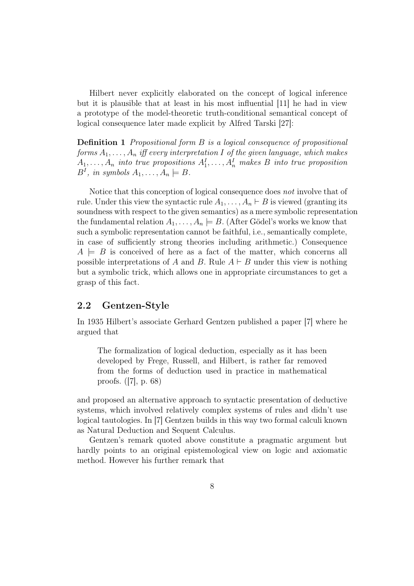Hilbert never explicitly elaborated on the concept of logical inference but it is plausible that at least in his most influential [11] he had in view a prototype of the model-theoretic truth-conditional semantical concept of logical consequence later made explicit by Alfred Tarski [27]:

Definition 1 Propositional form B is a logical consequence of propositional forms  $A_1, \ldots, A_n$  iff every interpretation I of the given language, which makes  $A_1, \ldots, A_n$  into true propositions  $A_1^I, \ldots, A_n^I$  makes B into true proposition  $B^I$ , in symbols  $A_1, \ldots, A_n \models B$ .

Notice that this conception of logical consequence does not involve that of rule. Under this view the syntactic rule  $A_1, \ldots, A_n \vdash B$  is viewed (granting its soundness with respect to the given semantics) as a mere symbolic representation the fundamental relation  $A_1, \ldots, A_n \models B$ . (After Gödel's works we know that such a symbolic representation cannot be faithful, i.e., semantically complete, in case of sufficiently strong theories including arithmetic.) Consequence  $A \models B$  is conceived of here as a fact of the matter, which concerns all possible interpretations of A and B. Rule  $A \vdash B$  under this view is nothing but a symbolic trick, which allows one in appropriate circumstances to get a grasp of this fact.

## 2.2 Gentzen-Style

In 1935 Hilbert's associate Gerhard Gentzen published a paper [7] where he argued that

The formalization of logical deduction, especially as it has been developed by Frege, Russell, and Hilbert, is rather far removed from the forms of deduction used in practice in mathematical proofs. ([7], p. 68)

and proposed an alternative approach to syntactic presentation of deductive systems, which involved relatively complex systems of rules and didn't use logical tautologies. In [7] Gentzen builds in this way two formal calculi known as Natural Deduction and Sequent Calculus.

Gentzen's remark quoted above constitute a pragmatic argument but hardly points to an original epistemological view on logic and axiomatic method. However his further remark that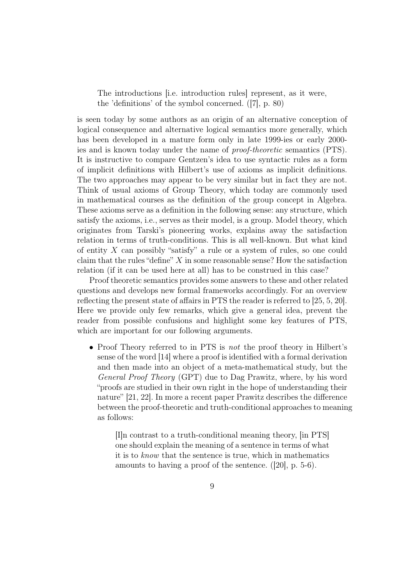The introductions [i.e. introduction rules] represent, as it were, the 'definitions' of the symbol concerned. ([7], p. 80)

is seen today by some authors as an origin of an alternative conception of logical consequence and alternative logical semantics more generally, which has been developed in a mature form only in late 1999-ies or early 2000 ies and is known today under the name of proof-theoretic semantics (PTS). It is instructive to compare Gentzen's idea to use syntactic rules as a form of implicit definitions with Hilbert's use of axioms as implicit definitions. The two approaches may appear to be very similar but in fact they are not. Think of usual axioms of Group Theory, which today are commonly used in mathematical courses as the definition of the group concept in Algebra. These axioms serve as a definition in the following sense: any structure, which satisfy the axioms, i.e., serves as their model, is a group. Model theory, which originates from Tarski's pioneering works, explains away the satisfaction relation in terms of truth-conditions. This is all well-known. But what kind of entity  $X$  can possibly "satisfy" a rule or a system of rules, so one could claim that the rules "define"  $X$  in some reasonable sense? How the satisfaction relation (if it can be used here at all) has to be construed in this case?

Proof theoretic semantics provides some answers to these and other related questions and develops new formal frameworks accordingly. For an overview reflecting the present state of affairs in PTS the reader is referred to [25, 5, 20]. Here we provide only few remarks, which give a general idea, prevent the reader from possible confusions and highlight some key features of PTS, which are important for our following arguments.

• Proof Theory referred to in PTS is *not* the proof theory in Hilbert's sense of the word [14] where a proof is identified with a formal derivation and then made into an object of a meta-mathematical study, but the General Proof Theory (GPT) due to Dag Prawitz, where, by his word "proofs are studied in their own right in the hope of understanding their nature" [21, 22]. In more a recent paper Prawitz describes the difference between the proof-theoretic and truth-conditional approaches to meaning as follows:

[I]n contrast to a truth-conditional meaning theory, [in PTS] one should explain the meaning of a sentence in terms of what it is to know that the sentence is true, which in mathematics amounts to having a proof of the sentence. ([20], p. 5-6).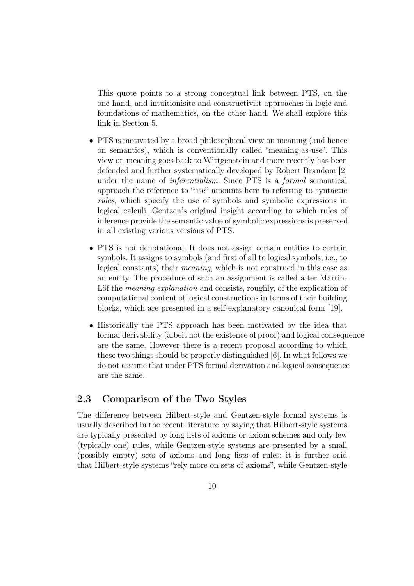This quote points to a strong conceptual link between PTS, on the one hand, and intuitionisitc and constructivist approaches in logic and foundations of mathematics, on the other hand. We shall explore this link in Section 5.

- PTS is motivated by a broad philosophical view on meaning (and hence on semantics), which is conventionally called "meaning-as-use". This view on meaning goes back to Wittgenstein and more recently has been defended and further systematically developed by Robert Brandom [2] under the name of inferentialism. Since PTS is a formal semantical approach the reference to "use" amounts here to referring to syntactic rules, which specify the use of symbols and symbolic expressions in logical calculi. Gentzen's original insight according to which rules of inference provide the semantic value of symbolic expressions is preserved in all existing various versions of PTS.
- PTS is not denotational. It does not assign certain entities to certain symbols. It assigns to symbols (and first of all to logical symbols, i.e., to logical constants) their meaning, which is not construed in this case as an entity. The procedure of such an assignment is called after Martin-Löf the *meaning explanation* and consists, roughly, of the explication of computational content of logical constructions in terms of their building blocks, which are presented in a self-explanatory canonical form [19].
- Historically the PTS approach has been motivated by the idea that formal derivability (albeit not the existence of proof) and logical consequence are the same. However there is a recent proposal according to which these two things should be properly distinguished [6]. In what follows we do not assume that under PTS formal derivation and logical consequence are the same.

## 2.3 Comparison of the Two Styles

The difference between Hilbert-style and Gentzen-style formal systems is usually described in the recent literature by saying that Hilbert-style systems are typically presented by long lists of axioms or axiom schemes and only few (typically one) rules, while Gentzen-style systems are presented by a small (possibly empty) sets of axioms and long lists of rules; it is further said that Hilbert-style systems "rely more on sets of axioms", while Gentzen-style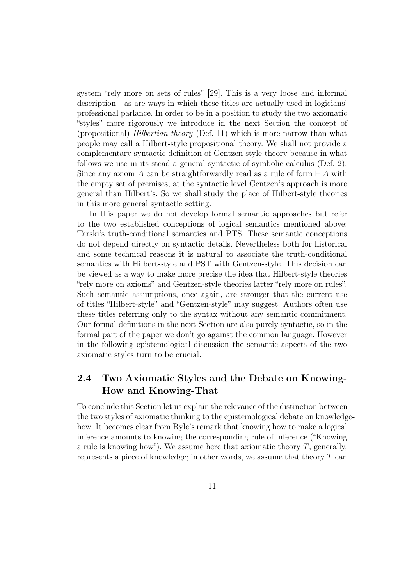system "rely more on sets of rules" [29]. This is a very loose and informal description - as are ways in which these titles are actually used in logicians' professional parlance. In order to be in a position to study the two axiomatic "styles" more rigorously we introduce in the next Section the concept of (propositional) Hilbertian theory (Def. 11) which is more narrow than what people may call a Hilbert-style propositional theory. We shall not provide a complementary syntactic definition of Gentzen-style theory because in what follows we use in its stead a general syntactic of symbolic calculus (Def. 2). Since any axiom A can be straightforwardly read as a rule of form  $\vdash A$  with the empty set of premises, at the syntactic level Gentzen's approach is more general than Hilbert's. So we shall study the place of Hilbert-style theories in this more general syntactic setting.

In this paper we do not develop formal semantic approaches but refer to the two established conceptions of logical semantics mentioned above: Tarski's truth-conditional semantics and PTS. These semantic conceptions do not depend directly on syntactic details. Nevertheless both for historical and some technical reasons it is natural to associate the truth-conditional semantics with Hilbert-style and PST with Gentzen-style. This decision can be viewed as a way to make more precise the idea that Hilbert-style theories "rely more on axioms" and Gentzen-style theories latter "rely more on rules". Such semantic assumptions, once again, are stronger that the current use of titles "Hilbert-style" and "Gentzen-style" may suggest. Authors often use these titles referring only to the syntax without any semantic commitment. Our formal definitions in the next Section are also purely syntactic, so in the formal part of the paper we don't go against the common language. However in the following epistemological discussion the semantic aspects of the two axiomatic styles turn to be crucial.

# 2.4 Two Axiomatic Styles and the Debate on Knowing-How and Knowing-That

To conclude this Section let us explain the relevance of the distinction between the two styles of axiomatic thinking to the epistemological debate on knowledgehow. It becomes clear from Ryle's remark that knowing how to make a logical inference amounts to knowing the corresponding rule of inference ("Knowing a rule is knowing how"). We assume here that axiomatic theory  $T$ , generally, represents a piece of knowledge; in other words, we assume that theory  $T$  can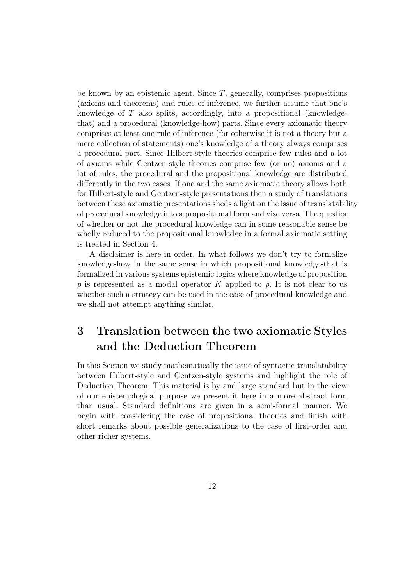be known by an epistemic agent. Since  $T$ , generally, comprises propositions (axioms and theorems) and rules of inference, we further assume that one's knowledge of T also splits, accordingly, into a propositional (knowledgethat) and a procedural (knowledge-how) parts. Since every axiomatic theory comprises at least one rule of inference (for otherwise it is not a theory but a mere collection of statements) one's knowledge of a theory always comprises a procedural part. Since Hilbert-style theories comprise few rules and a lot of axioms while Gentzen-style theories comprise few (or no) axioms and a lot of rules, the procedural and the propositional knowledge are distributed differently in the two cases. If one and the same axiomatic theory allows both for Hilbert-style and Gentzen-style presentations then a study of translations between these axiomatic presentations sheds a light on the issue of translatability of procedural knowledge into a propositional form and vise versa. The question of whether or not the procedural knowledge can in some reasonable sense be wholly reduced to the propositional knowledge in a formal axiomatic setting is treated in Section 4.

A disclaimer is here in order. In what follows we don't try to formalize knowledge-how in the same sense in which propositional knowledge-that is formalized in various systems epistemic logics where knowledge of proposition p is represented as a modal operator K applied to p. It is not clear to us whether such a strategy can be used in the case of procedural knowledge and we shall not attempt anything similar.

# 3 Translation between the two axiomatic Styles and the Deduction Theorem

In this Section we study mathematically the issue of syntactic translatability between Hilbert-style and Gentzen-style systems and highlight the role of Deduction Theorem. This material is by and large standard but in the view of our epistemological purpose we present it here in a more abstract form than usual. Standard definitions are given in a semi-formal manner. We begin with considering the case of propositional theories and finish with short remarks about possible generalizations to the case of first-order and other richer systems.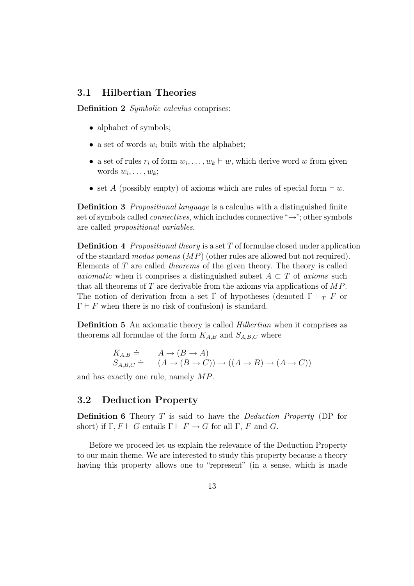## 3.1 Hilbertian Theories

Definition 2 Symbolic calculus comprises:

- alphabet of symbols:
- a set of words  $w_i$  built with the alphabet;
- a set of rules  $r_i$  of form  $w_i, \ldots, w_k \vdash w$ , which derive word w from given words  $w_i, \ldots, w_k;$
- set A (possibly empty) of axioms which are rules of special form  $\vdash w$ .

Definition 3 Propositional language is a calculus with a distinguished finite set of symbols called *connectives*, which includes connective " $\rightarrow$ "; other symbols are called propositional variables.

**Definition 4** Propositional theory is a set T of formulae closed under application of the standard modus ponens (MP) (other rules are allowed but not required). Elements of T are called theorems of the given theory. The theory is called axiomatic when it comprises a distinguished subset  $A \subset T$  of axioms such that all theorems of  $T$  are derivable from the axioms via applications of  $MP$ . The notion of derivation from a set Γ of hypotheses (denoted  $\Gamma \vdash_T F$  or  $\Gamma \vdash F$  when there is no risk of confusion) is standard.

Definition 5 An axiomatic theory is called Hilbertian when it comprises as theorems all formulae of the form  $K_{A,B}$  and  $S_{A,B,C}$  where

$$
K_{A,B} \doteq \n A \rightarrow (B \rightarrow A) \n S_{A,B,C} \doteq \n (A \rightarrow (B \rightarrow C)) \rightarrow ((A \rightarrow B) \rightarrow (A \rightarrow C))
$$

and has exactly one rule, namely MP.

## 3.2 Deduction Property

**Definition 6** Theory  $T$  is said to have the *Deduction Property* (DP for short) if  $\Gamma, F \vdash G$  entails  $\Gamma \vdash F \to G$  for all  $\Gamma, F$  and G.

Before we proceed let us explain the relevance of the Deduction Property to our main theme. We are interested to study this property because a theory having this property allows one to "represent" (in a sense, which is made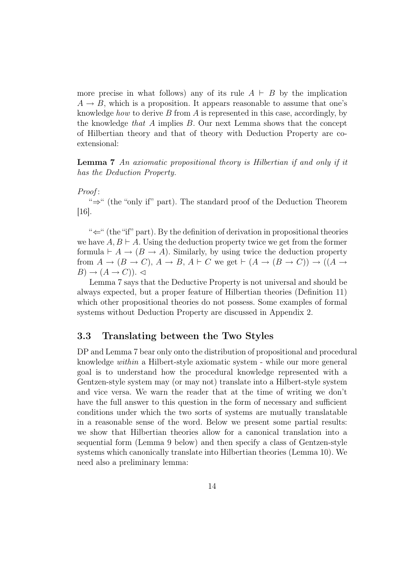more precise in what follows) any of its rule  $A \vdash B$  by the implication  $A \rightarrow B$ , which is a proposition. It appears reasonable to assume that one's knowledge *how* to derive  $B$  from  $\tilde{A}$  is represented in this case, accordingly, by the knowledge that A implies B. Our next Lemma shows that the concept of Hilbertian theory and that of theory with Deduction Property are coextensional:

Lemma 7 An axiomatic propositional theory is Hilbertian if and only if it has the Deduction Property.

#### Proof :

"⇒" (the "only if" part). The standard proof of the Deduction Theorem  $|16|$ .

" $\Leftarrow$ " (the "if" part). By the definition of derivation in propositional theories we have  $A, B \vdash A$ . Using the deduction property twice we get from the former formula  $\vdash A \rightarrow (B \rightarrow A)$ . Similarly, by using twice the deduction property from  $A \to (B \to C)$ ,  $A \to B$ ,  $A \vdash C$  we get  $\vdash (A \to (B \to C)) \to ((A \to C))$  $B) \rightarrow (A \rightarrow C)$ .

Lemma 7 says that the Deductive Property is not universal and should be always expected, but a proper feature of Hilbertian theories (Definition 11) which other propositional theories do not possess. Some examples of formal systems without Deduction Property are discussed in Appendix 2.

## 3.3 Translating between the Two Styles

DP and Lemma 7 bear only onto the distribution of propositional and procedural knowledge within a Hilbert-style axiomatic system - while our more general goal is to understand how the procedural knowledge represented with a Gentzen-style system may (or may not) translate into a Hilbert-style system and vice versa. We warn the reader that at the time of writing we don't have the full answer to this question in the form of necessary and sufficient conditions under which the two sorts of systems are mutually translatable in a reasonable sense of the word. Below we present some partial results: we show that Hilbertian theories allow for a canonical translation into a sequential form (Lemma 9 below) and then specify a class of Gentzen-style systems which canonically translate into Hilbertian theories (Lemma 10). We need also a preliminary lemma: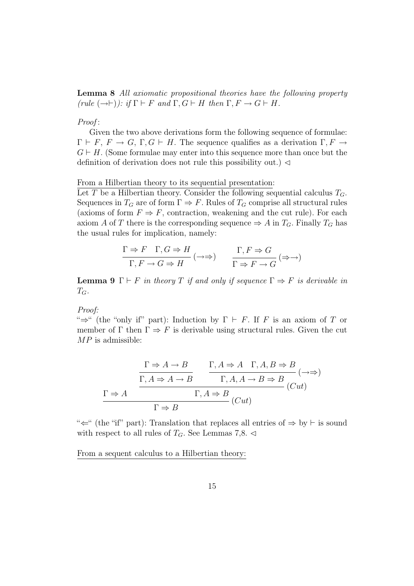Lemma 8 All axiomatic propositional theories have the following property (rule  $(\rightarrow \rightarrow \rightarrow \rightarrow)$ ): if  $\Gamma \vdash F$  and  $\Gamma, G \vdash H$  then  $\Gamma, F \rightarrow G \vdash H$ .

#### Proof:

Given the two above derivations form the following sequence of formulae:  $\Gamma \vdash F, F \rightarrow G, \Gamma, G \vdash H$ . The sequence qualifies as a derivation  $\Gamma, F \rightarrow$  $G \vdash H$ . (Some formulae may enter into this sequence more than once but the definition of derivation does not rule this possibility out.)  $\triangleleft$ 

#### From a Hilbertian theory to its sequential presentation:

Let T be a Hilbertian theory. Consider the following sequential calculus  $T_G$ . Sequences in  $T_G$  are of form  $\Gamma \Rightarrow F$ . Rules of  $T_G$  comprise all structural rules (axioms of form  $F \Rightarrow F$ , contraction, weakening and the cut rule). For each axiom A of T there is the corresponding sequence  $\Rightarrow$  A in  $T_G$ . Finally  $T_G$  has the usual rules for implication, namely:

$$
\frac{\Gamma \Rightarrow F \quad \Gamma, G \Rightarrow H}{\Gamma, F \to G \Rightarrow H} (\to \to) \qquad \frac{\Gamma, F \to G}{\Gamma \Rightarrow F \to G} (\Rightarrow \to)
$$

**Lemma 9**  $\Gamma \vdash F$  in theory T if and only if sequence  $\Gamma \Rightarrow F$  is derivable in  $T_G$ .

Proof:

" $\Rightarrow$ " (the "only if" part): Induction by  $\Gamma \vdash F$ . If F is an axiom of T or member of  $\Gamma$  then  $\Gamma \Rightarrow F$  is derivable using structural rules. Given the cut  $MP$  is admissible:

$$
\frac{\Gamma \Rightarrow A \to B}{\Gamma, A \Rightarrow A \to B} \qquad \frac{\Gamma, A \Rightarrow A \quad \Gamma, A, B \Rightarrow B}{\Gamma, A, A \to B \Rightarrow B} \quad (\to \Rightarrow)
$$

$$
\frac{\Gamma \Rightarrow A}{\Gamma \Rightarrow B} \qquad (\text{Cut})
$$

" $\leftarrow$ " (the "if" part): Translation that replaces all entries of  $\Rightarrow$  by  $\vdash$  is sound with respect to all rules of  $T_G$ . See Lemmas 7,8.  $\triangleleft$ 

From a sequent calculus to a Hilbertian theory: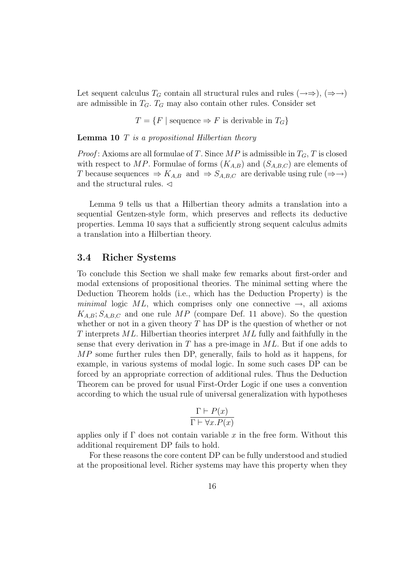Let sequent calculus  $T_G$  contain all structural rules and rules  $(\rightarrow \Rightarrow), (\Rightarrow \rightarrow)$ are admissible in  $T_G$ .  $T_G$  may also contain other rules. Consider set

 $T = \{F \mid \text{sequence} \Rightarrow F \text{ is derivable in } T_G\}$ 

**Lemma 10**  $T$  is a propositional Hilbertian theory

*Proof*: Axioms are all formulae of T. Since  $MP$  is admissible in  $T_G$ , T is closed with respect to MP. Formulae of forms  $(K_{A,B})$  and  $(S_{A,B,C})$  are elements of T because sequences  $\Rightarrow$   $K_{A,B}$  and  $\Rightarrow$   $S_{A,B,C}$  are derivable using rule ( $\Rightarrow$   $\rightarrow$ ) and the structural rules.  $\triangleleft$ 

Lemma 9 tells us that a Hilbertian theory admits a translation into a sequential Gentzen-style form, which preserves and reflects its deductive properties. Lemma 10 says that a sufficiently strong sequent calculus admits a translation into a Hilbertian theory.

### 3.4 Richer Systems

To conclude this Section we shall make few remarks about first-order and modal extensions of propositional theories. The minimal setting where the Deduction Theorem holds (i.e., which has the Deduction Property) is the minimal logic ML, which comprises only one connective  $\rightarrow$ , all axioms  $K_{A,B}$ ;  $S_{A,B,C}$  and one rule MP (compare Def. 11 above). So the question whether or not in a given theory  $T$  has DP is the question of whether or not  $T$  interprets  $ML$ . Hilbertian theories interpret  $ML$  fully and faithfully in the sense that every derivation in  $T$  has a pre-image in  $ML$ . But if one adds to MP some further rules then DP, generally, fails to hold as it happens, for example, in various systems of modal logic. In some such cases DP can be forced by an appropriate correction of additional rules. Thus the Deduction Theorem can be proved for usual First-Order Logic if one uses a convention according to which the usual rule of universal generalization with hypotheses

$$
\frac{\Gamma \vdash P(x)}{\Gamma \vdash \forall x. P(x)}
$$

applies only if  $\Gamma$  does not contain variable x in the free form. Without this additional requirement DP fails to hold.

For these reasons the core content DP can be fully understood and studied at the propositional level. Richer systems may have this property when they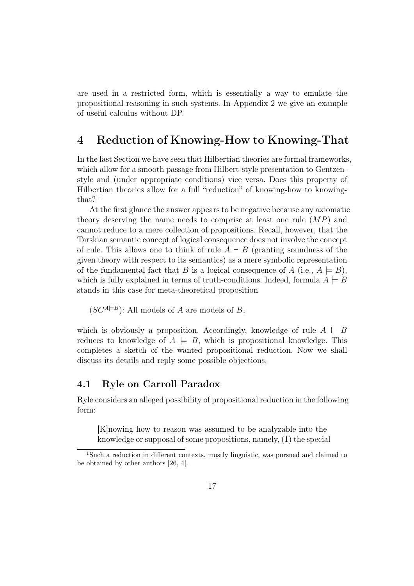are used in a restricted form, which is essentially a way to emulate the propositional reasoning in such systems. In Appendix 2 we give an example of useful calculus without DP.

# 4 Reduction of Knowing-How to Knowing-That

In the last Section we have seen that Hilbertian theories are formal frameworks, which allow for a smooth passage from Hilbert-style presentation to Gentzenstyle and (under appropriate conditions) vice versa. Does this property of Hilbertian theories allow for a full "reduction" of knowing-how to knowingthat?  $1$ 

At the first glance the answer appears to be negative because any axiomatic theory deserving the name needs to comprise at least one rule  $(MP)$  and cannot reduce to a mere collection of propositions. Recall, however, that the Tarskian semantic concept of logical consequence does not involve the concept of rule. This allows one to think of rule  $A \vdash B$  (granting soundness of the given theory with respect to its semantics) as a mere symbolic representation of the fundamental fact that B is a logical consequence of A (i.e.,  $A \models B$ ), which is fully explained in terms of truth-conditions. Indeed, formula  $A \models B$ stands in this case for meta-theoretical proposition

 $(SC^{A \models B})$ : All models of A are models of B,

which is obviously a proposition. Accordingly, knowledge of rule  $A \vdash B$ reduces to knowledge of  $A \models B$ , which is propositional knowledge. This completes a sketch of the wanted propositional reduction. Now we shall discuss its details and reply some possible objections.

## 4.1 Ryle on Carroll Paradox

Ryle considers an alleged possibility of propositional reduction in the following form:

[K]nowing how to reason was assumed to be analyzable into the knowledge or supposal of some propositions, namely, (1) the special

<sup>1</sup>Such a reduction in different contexts, mostly linguistic, was pursued and claimed to be obtained by other authors [26, 4].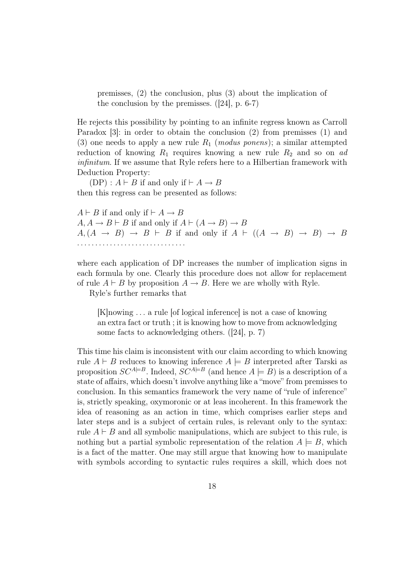premisses, (2) the conclusion, plus (3) about the implication of the conclusion by the premisses. ([24], p. 6-7)

He rejects this possibility by pointing to an infinite regress known as Carroll Paradox [3]: in order to obtain the conclusion (2) from premisses (1) and (3) one needs to apply a new rule  $R_1$  (modus ponens); a similar attempted reduction of knowing  $R_1$  requires knowing a new rule  $R_2$  and so on ad infinitum. If we assume that Ryle refers here to a Hilbertian framework with Deduction Property:

 $(DP) : A \vdash B$  if and only if  $\vdash A \rightarrow B$ then this regress can be presented as follows:

 $A \vdash B$  if and only if  $\vdash A \rightarrow B$  $A, A \rightarrow B \vdash B$  if and only if  $A \vdash (A \rightarrow B) \rightarrow B$  $A,(A \rightarrow B) \rightarrow B \vdash B$  if and only if  $A \vdash ((A \rightarrow B) \rightarrow B) \rightarrow B$ . . . . . . . . . . . . . . . . . . . . . . . . . . . . . .

where each application of DP increases the number of implication signs in each formula by one. Clearly this procedure does not allow for replacement of rule  $A \vdash B$  by proposition  $A \rightarrow B$ . Here we are wholly with Ryle.

Ryle's further remarks that

[K]nowing . . . a rule [of logical inference] is not a case of knowing an extra fact or truth ; it is knowing how to move from acknowledging some facts to acknowledging others. ([24], p. 7)

This time his claim is inconsistent with our claim according to which knowing rule  $A \vdash B$  reduces to knowing inference  $A \models B$  interpreted after Tarski as proposition  $SC^{A\rightleftharpoons B}$ . Indeed,  $SC^{A\rightleftharpoons B}$  (and hence  $A \rightleftharpoons B$ ) is a description of a state of affairs, which doesn't involve anything like a "move" from premisses to conclusion. In this semantics framework the very name of "rule of inference" is, strictly speaking, oxymoronic or at leas incoherent. In this framework the idea of reasoning as an action in time, which comprises earlier steps and later steps and is a subject of certain rules, is relevant only to the syntax: rule  $A \vdash B$  and all symbolic manipulations, which are subject to this rule, is nothing but a partial symbolic representation of the relation  $A \models B$ , which is a fact of the matter. One may still argue that knowing how to manipulate with symbols according to syntactic rules requires a skill, which does not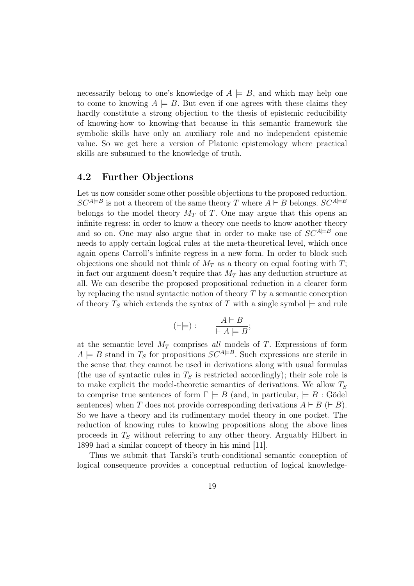necessarily belong to one's knowledge of  $A \models B$ , and which may help one to come to knowing  $A \models B$ . But even if one agrees with these claims they hardly constitute a strong objection to the thesis of epistemic reducibility of knowing-how to knowing-that because in this semantic framework the symbolic skills have only an auxiliary role and no independent epistemic value. So we get here a version of Platonic epistemology where practical skills are subsumed to the knowledge of truth.

## 4.2 Further Objections

Let us now consider some other possible objections to the proposed reduction.  $SC^{A\rightleftharpoons B}$  is not a theorem of the same theory T where  $A \vdash B$  belongs.  $SC^{A\rightleftharpoons B}$ belongs to the model theory  $M_T$  of T. One may argue that this opens an infinite regress: in order to know a theory one needs to know another theory and so on. One may also argue that in order to make use of  $SC^{A\rightleftharpoons B}$  one needs to apply certain logical rules at the meta-theoretical level, which once again opens Carroll's infinite regress in a new form. In order to block such objections one should not think of  $M_T$  as a theory on equal footing with T; in fact our argument doesn't require that  $M_T$  has any deduction structure at all. We can describe the proposed propositional reduction in a clearer form by replacing the usual syntactic notion of theory  $T$  by a semantic conception of theory  $T<sub>S</sub>$  which extends the syntax of T with a single symbol  $\models$  and rule

$$
(\vdash \models): \qquad \frac{A \vdash B}{\vdash A \models B};
$$

at the semantic level  $M_T$  comprises all models of T. Expressions of form  $A \models B$  stand in  $T_S$  for propositions  $SC^{A \models B}$ . Such expressions are sterile in the sense that they cannot be used in derivations along with usual formulas (the use of syntactic rules in  $T<sub>S</sub>$  is restricted accordingly); their sole role is to make explicit the model-theoretic semantics of derivations. We allow  $T<sub>S</sub>$ to comprise true sentences of form  $\Gamma \models B$  (and, in particular,  $\models B : G \ddot{o}$ del sentences) when T does not provide corresponding derivations  $A \vdash B (\vdash B)$ . So we have a theory and its rudimentary model theory in one pocket. The reduction of knowing rules to knowing propositions along the above lines proceeds in  $T<sub>S</sub>$  without referring to any other theory. Arguably Hilbert in 1899 had a similar concept of theory in his mind [11].

Thus we submit that Tarski's truth-conditional semantic conception of logical consequence provides a conceptual reduction of logical knowledge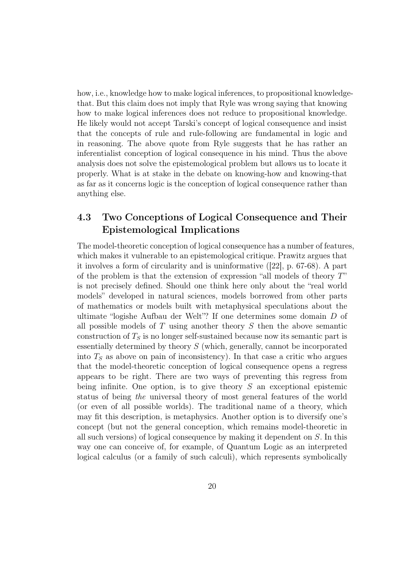how, i.e., knowledge how to make logical inferences, to propositional knowledgethat. But this claim does not imply that Ryle was wrong saying that knowing how to make logical inferences does not reduce to propositional knowledge. He likely would not accept Tarski's concept of logical consequence and insist that the concepts of rule and rule-following are fundamental in logic and in reasoning. The above quote from Ryle suggests that he has rather an inferentialist conception of logical consequence in his mind. Thus the above analysis does not solve the epistemological problem but allows us to locate it properly. What is at stake in the debate on knowing-how and knowing-that as far as it concerns logic is the conception of logical consequence rather than anything else.

## 4.3 Two Conceptions of Logical Consequence and Their Epistemological Implications

The model-theoretic conception of logical consequence has a number of features, which makes it vulnerable to an epistemological critique. Prawitz argues that it involves a form of circularity and is uninformative ([22], p. 67-68). A part of the problem is that the extension of expression "all models of theory T" is not precisely defined. Should one think here only about the "real world models" developed in natural sciences, models borrowed from other parts of mathematics or models built with metaphysical speculations about the ultimate "logishe Aufbau der Welt"? If one determines some domain D of all possible models of  $T$  using another theory  $S$  then the above semantic construction of  $T<sub>S</sub>$  is no longer self-sustained because now its semantic part is essentially determined by theory S (which, generally, cannot be incorporated into  $T<sub>S</sub>$  as above on pain of inconsistency). In that case a critic who argues that the model-theoretic conception of logical consequence opens a regress appears to be right. There are two ways of preventing this regress from being infinite. One option, is to give theory  $S$  an exceptional epistemic status of being the universal theory of most general features of the world (or even of all possible worlds). The traditional name of a theory, which may fit this description, is metaphysics. Another option is to diversify one's concept (but not the general conception, which remains model-theoretic in all such versions) of logical consequence by making it dependent on S. In this way one can conceive of, for example, of Quantum Logic as an interpreted logical calculus (or a family of such calculi), which represents symbolically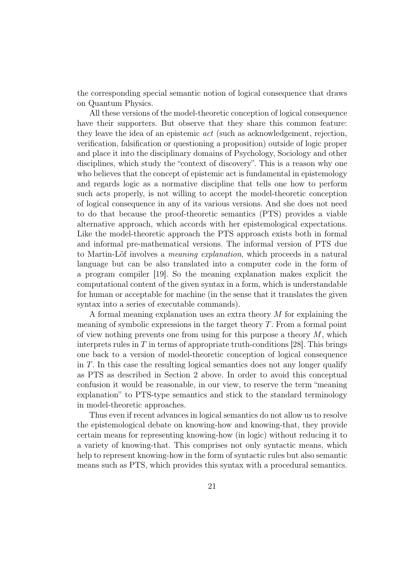the corresponding special semantic notion of logical consequence that draws on Quantum Physics.

All these versions of the model-theoretic conception of logical consequence have their supporters. But observe that they share this common feature: they leave the idea of an epistemic act (such as acknowledgement, rejection, verification, falsification or questioning a proposition) outside of logic proper and place it into the disciplinary domains of Psychology, Sociology and other disciplines, which study the "context of discovery". This is a reason why one who believes that the concept of epistemic act is fundamental in epistemology and regards logic as a normative discipline that tells one how to perform such acts properly, is not willing to accept the model-theoretic conception of logical consequence in any of its various versions. And she does not need to do that because the proof-theoretic semantics (PTS) provides a viable alternative approach, which accords with her epistemological expectations. Like the model-theoretic approach the PTS approach exists both in formal and informal pre-mathematical versions. The informal version of PTS due to Martin-Löf involves a *meaning explanation*, which proceeds in a natural language but can be also translated into a computer code in the form of a program compiler [19]. So the meaning explanation makes explicit the computational content of the given syntax in a form, which is understandable for human or acceptable for machine (in the sense that it translates the given syntax into a series of executable commands).

A formal meaning explanation uses an extra theory M for explaining the meaning of symbolic expressions in the target theory T. From a formal point of view nothing prevents one from using for this purpose a theory  $M$ , which interprets rules in  $T$  in terms of appropriate truth-conditions [28]. This brings one back to a version of model-theoretic conception of logical consequence in T. In this case the resulting logical semantics does not any longer qualify as PTS as described in Section 2 above. In order to avoid this conceptual confusion it would be reasonable, in our view, to reserve the term "meaning explanation" to PTS-type semantics and stick to the standard terminology in model-theoretic approaches.

Thus even if recent advances in logical semantics do not allow us to resolve the epistemological debate on knowing-how and knowing-that, they provide certain means for representing knowing-how (in logic) without reducing it to a variety of knowing-that. This comprises not only syntactic means, which help to represent knowing-how in the form of syntactic rules but also semantic means such as PTS, which provides this syntax with a procedural semantics.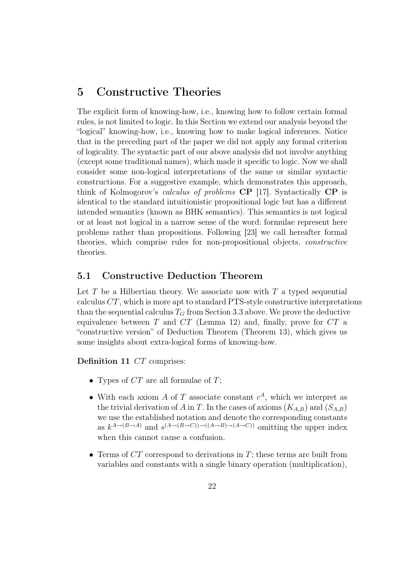# 5 Constructive Theories

The explicit form of knowing-how, i.e., knowing how to follow certain formal rules, is not limited to logic. In this Section we extend our analysis beyond the "logical" knowing-how, i.e., knowing how to make logical inferences. Notice that in the preceding part of the paper we did not apply any formal criterion of logicality. The syntactic part of our above analysis did not involve anything (except some traditional names), which made it specific to logic. Now we shall consider some non-logical interpretations of the same or similar syntactic constructions. For a suggestive example, which demonstrates this approach, think of Kolmogorov's calculus of problems CP [17]. Syntactically CP is identical to the standard intuitionistic propositional logic but has a different intended semantics (known as BHK semantics). This semantics is not logical or at least not logical in a narrow sense of the word: formulae represent here problems rather than propositions. Following [23] we call hereafter formal theories, which comprise rules for non-propositional objects, constructive theories.

## 5.1 Constructive Deduction Theorem

Let  $T$  be a Hilbertian theory. We associate now with  $T$  a typed sequential calculus CT, which is more apt to standard PTS-style constructive interpretations than the sequential calculus  $T_G$  from Section 3.3 above. We prove the deductive equivalence between  $T$  and  $CT$  (Lemma 12) and, finally, prove for  $CT$  a "constructive version" of Deduction Theorem (Theorem 13), which gives us some insights about extra-logical forms of knowing-how.

Definition 11 CT comprises:

- Types of  $CT$  are all formulae of  $T$ ;
- With each axiom A of T associate constant  $c^A$ , which we interpret as the trivial derivation of A in T. In the cases of axioms  $(K_{A,B})$  and  $(S_{A,B})$ we use the established notation and denote the corresponding constants as  $k^{A\to(B\to A)}$  and  $s^{(A\to(B\to C))\to((A\to B)\to(A\to C))}$  omitting the upper index when this cannot cause a confusion.
- Terms of  $CT$  correspond to derivations in T; these terms are built from variables and constants with a single binary operation (multiplication),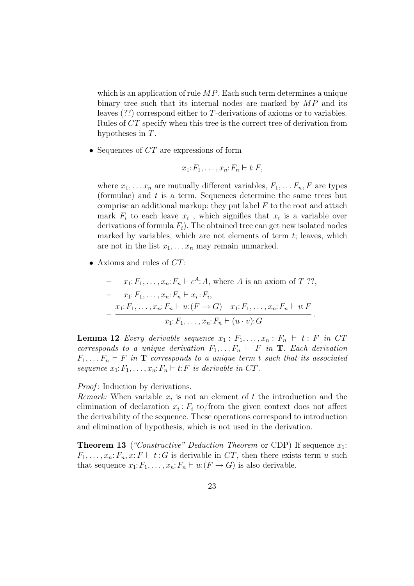which is an application of rule  $MP$ . Each such term determines a unique binary tree such that its internal nodes are marked by  $MP$  and its leaves (??) correspond either to T-derivations of axioms or to variables. Rules of CT specify when this tree is the correct tree of derivation from hypotheses in T.

• Sequences of  $CT$  are expressions of form

$$
x_1: F_1, \ldots, x_n: F_n \vdash t: F,
$$

where  $x_1, \ldots x_n$  are mutually different variables,  $F_1, \ldots F_n$ , F are types (formulae) and  $t$  is a term. Sequences determine the same trees but comprise an additional markup: they put label  $F$  to the root and attach mark  $F_i$  to each leave  $x_i$ , which signifies that  $x_i$  is a variable over derivations of formula  $F_i$ ). The obtained tree can get new isolated nodes marked by variables, which are not elements of term  $t$ ; leaves, which are not in the list  $x_1, \ldots x_n$  may remain unmarked.

• Axioms and rules of  $CT$ :

- 
$$
x_1: F_1, ..., x_n: F_n \vdash c^A: A
$$
, where A is an axiom of T ??,  
\n-  $x_1: F_1, ..., x_n: F_n \vdash x_i: F_i$ ,  
\n-  $\frac{x_1: F_1, ..., x_n: F_n \vdash u: (F \to G) \quad x_1: F_1, ..., x_n: F_n \vdash v: F}{x_1: F_1, ..., x_n: F_n \vdash (u \cdot v): G}$ .

**Lemma 12** Every derivable sequence  $x_1 : F_1, \ldots, x_n : F_n \vdash t : F$  in CT corresponds to a unique derivation  $F_1, \ldots F_n \vdash F$  in **T**. Each derivation  $F_1, \ldots F_n \vdash F$  in **T** corresponds to a unique term t such that its associated sequence  $x_1: F_1, \ldots, x_n: F_n \vdash t: F$  is derivable in CT.

*Proof*: Induction by derivations.

Remark: When variable  $x_i$  is not an element of t the introduction and the elimination of declaration  $x_i$ :  $F_i$  to/from the given context does not affect the derivability of the sequence. These operations correspond to introduction and elimination of hypothesis, which is not used in the derivation.

**Theorem 13** ("Constructive" Deduction Theorem or CDP) If sequence  $x_1$ :  $F_1, \ldots, x_n: F_n, x: F \vdash t: G$  is derivable in CT, then there exists term u such that sequence  $x_1: F_1, \ldots, x_n: F_n \vdash u: (F \rightarrow G)$  is also derivable.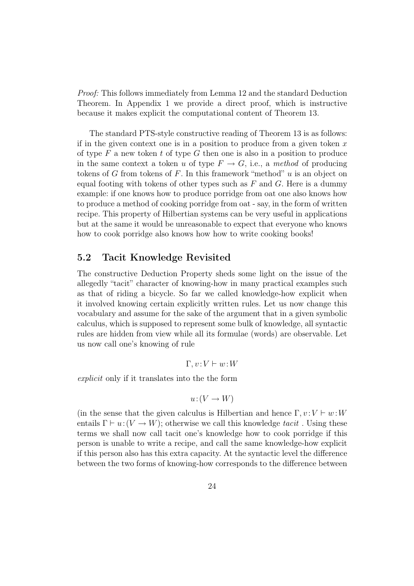Proof: This follows immediately from Lemma 12 and the standard Deduction Theorem. In Appendix 1 we provide a direct proof, which is instructive because it makes explicit the computational content of Theorem 13.

The standard PTS-style constructive reading of Theorem 13 is as follows: if in the given context one is in a position to produce from a given token  $x$ of type  $F$  a new token t of type  $G$  then one is also in a position to produce in the same context a token u of type  $F \to G$ , i.e., a method of producing tokens of G from tokens of F. In this framework "method"  $u$  is an object on equal footing with tokens of other types such as  $F$  and  $G$ . Here is a dummy example: if one knows how to produce porridge from oat one also knows how to produce a method of cooking porridge from oat - say, in the form of written recipe. This property of Hilbertian systems can be very useful in applications but at the same it would be unreasonable to expect that everyone who knows how to cook porridge also knows how how to write cooking books!

## 5.2 Tacit Knowledge Revisited

The constructive Deduction Property sheds some light on the issue of the allegedly "tacit" character of knowing-how in many practical examples such as that of riding a bicycle. So far we called knowledge-how explicit when it involved knowing certain explicitly written rules. Let us now change this vocabulary and assume for the sake of the argument that in a given symbolic calculus, which is supposed to represent some bulk of knowledge, all syntactic rules are hidden from view while all its formulae (words) are observable. Let us now call one's knowing of rule

$$
\Gamma, v \colon V \vdash w \colon W
$$

explicit only if it translates into the the form

$$
u: (V \to W)
$$

(in the sense that the given calculus is Hilbertian and hence  $\Gamma, v : V \vdash w : W$ entails  $\Gamma \vdash u:(V \to W)$ ; otherwise we call this knowledge tacit. Using these terms we shall now call tacit one's knowledge how to cook porridge if this person is unable to write a recipe, and call the same knowledge-how explicit if this person also has this extra capacity. At the syntactic level the difference between the two forms of knowing-how corresponds to the difference between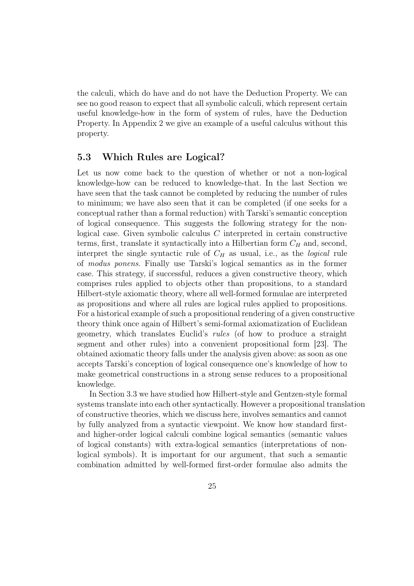the calculi, which do have and do not have the Deduction Property. We can see no good reason to expect that all symbolic calculi, which represent certain useful knowledge-how in the form of system of rules, have the Deduction Property. In Appendix 2 we give an example of a useful calculus without this property.

## 5.3 Which Rules are Logical?

Let us now come back to the question of whether or not a non-logical knowledge-how can be reduced to knowledge-that. In the last Section we have seen that the task cannot be completed by reducing the number of rules to minimum; we have also seen that it can be completed (if one seeks for a conceptual rather than a formal reduction) with Tarski's semantic conception of logical consequence. This suggests the following strategy for the nonlogical case. Given symbolic calculus C interpreted in certain constructive terms, first, translate it syntactically into a Hilbertian form  $C_H$  and, second, interpret the single syntactic rule of  $C_H$  as usual, i.e., as the *logical* rule of modus ponens. Finally use Tarski's logical semantics as in the former case. This strategy, if successful, reduces a given constructive theory, which comprises rules applied to objects other than propositions, to a standard Hilbert-style axiomatic theory, where all well-formed formulae are interpreted as propositions and where all rules are logical rules applied to propositions. For a historical example of such a propositional rendering of a given constructive theory think once again of Hilbert's semi-formal axiomatization of Euclidean geometry, which translates Euclid's rules (of how to produce a straight segment and other rules) into a convenient propositional form [23]. The obtained axiomatic theory falls under the analysis given above: as soon as one accepts Tarski's conception of logical consequence one's knowledge of how to make geometrical constructions in a strong sense reduces to a propositional knowledge.

In Section 3.3 we have studied how Hilbert-style and Gentzen-style formal systems translate into each other syntactically. However a propositional translation of constructive theories, which we discuss here, involves semantics and cannot by fully analyzed from a syntactic viewpoint. We know how standard firstand higher-order logical calculi combine logical semantics (semantic values of logical constants) with extra-logical semantics (interpretations of nonlogical symbols). It is important for our argument, that such a semantic combination admitted by well-formed first-order formulae also admits the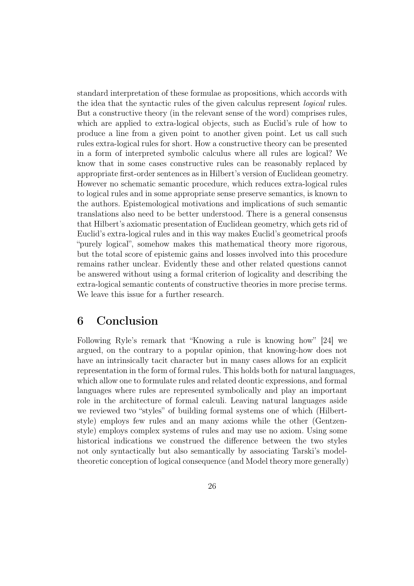standard interpretation of these formulae as propositions, which accords with the idea that the syntactic rules of the given calculus represent logical rules. But a constructive theory (in the relevant sense of the word) comprises rules, which are applied to extra-logical objects, such as Euclid's rule of how to produce a line from a given point to another given point. Let us call such rules extra-logical rules for short. How a constructive theory can be presented in a form of interpreted symbolic calculus where all rules are logical? We know that in some cases constructive rules can be reasonably replaced by appropriate first-order sentences as in Hilbert's version of Euclidean geometry. However no schematic semantic procedure, which reduces extra-logical rules to logical rules and in some appropriate sense preserve semantics, is known to the authors. Epistemological motivations and implications of such semantic translations also need to be better understood. There is a general consensus that Hilbert's axiomatic presentation of Euclidean geometry, which gets rid of Euclid's extra-logical rules and in this way makes Euclid's geometrical proofs "purely logical", somehow makes this mathematical theory more rigorous, but the total score of epistemic gains and losses involved into this procedure remains rather unclear. Evidently these and other related questions cannot be answered without using a formal criterion of logicality and describing the extra-logical semantic contents of constructive theories in more precise terms. We leave this issue for a further research.

# 6 Conclusion

Following Ryle's remark that "Knowing a rule is knowing how" [24] we argued, on the contrary to a popular opinion, that knowing-how does not have an intrinsically tacit character but in many cases allows for an explicit representation in the form of formal rules. This holds both for natural languages, which allow one to formulate rules and related deontic expressions, and formal languages where rules are represented symbolically and play an important role in the architecture of formal calculi. Leaving natural languages aside we reviewed two "styles" of building formal systems one of which (Hilbertstyle) employs few rules and an many axioms while the other (Gentzenstyle) employs complex systems of rules and may use no axiom. Using some historical indications we construed the difference between the two styles not only syntactically but also semantically by associating Tarski's modeltheoretic conception of logical consequence (and Model theory more generally)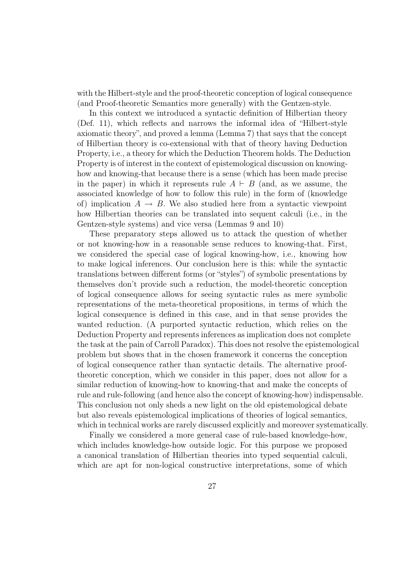with the Hilbert-style and the proof-theoretic conception of logical consequence (and Proof-theoretic Semantics more generally) with the Gentzen-style.

In this context we introduced a syntactic definition of Hilbertian theory (Def. 11), which reflects and narrows the informal idea of "Hilbert-style axiomatic theory", and proved a lemma (Lemma 7) that says that the concept of Hilbertian theory is co-extensional with that of theory having Deduction Property, i.e., a theory for which the Deduction Theorem holds. The Deduction Property is of interest in the context of epistemological discussion on knowinghow and knowing-that because there is a sense (which has been made precise in the paper) in which it represents rule  $A \vdash B$  (and, as we assume, the associated knowledge of how to follow this rule) in the form of (knowledge of) implication  $A \rightarrow B$ . We also studied here from a syntactic viewpoint how Hilbertian theories can be translated into sequent calculi (i.e., in the Gentzen-style systems) and vice versa (Lemmas 9 and 10)

These preparatory steps allowed us to attack the question of whether or not knowing-how in a reasonable sense reduces to knowing-that. First, we considered the special case of logical knowing-how, i.e., knowing how to make logical inferences. Our conclusion here is this: while the syntactic translations between different forms (or "styles") of symbolic presentations by themselves don't provide such a reduction, the model-theoretic conception of logical consequence allows for seeing syntactic rules as mere symbolic representations of the meta-theoretical propositions, in terms of which the logical consequence is defined in this case, and in that sense provides the wanted reduction. (A purported syntactic reduction, which relies on the Deduction Property and represents inferences as implication does not complete the task at the pain of Carroll Paradox). This does not resolve the epistemological problem but shows that in the chosen framework it concerns the conception of logical consequence rather than syntactic details. The alternative prooftheoretic conception, which we consider in this paper, does not allow for a similar reduction of knowing-how to knowing-that and make the concepts of rule and rule-following (and hence also the concept of knowing-how) indispensable. This conclusion not only sheds a new light on the old epistemological debate but also reveals epistemological implications of theories of logical semantics, which in technical works are rarely discussed explicitly and moreover systematically.

Finally we considered a more general case of rule-based knowledge-how, which includes knowledge-how outside logic. For this purpose we proposed a canonical translation of Hilbertian theories into typed sequential calculi, which are apt for non-logical constructive interpretations, some of which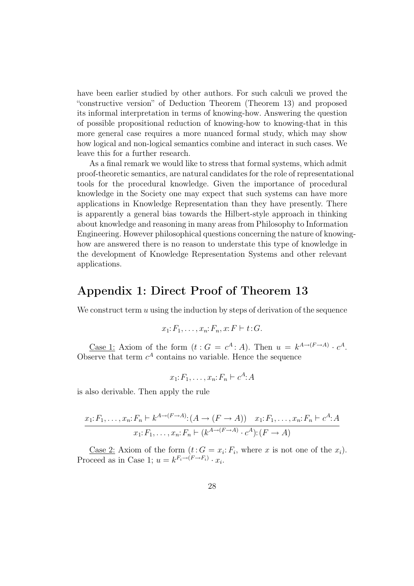have been earlier studied by other authors. For such calculi we proved the "constructive version" of Deduction Theorem (Theorem 13) and proposed its informal interpretation in terms of knowing-how. Answering the question of possible propositional reduction of knowing-how to knowing-that in this more general case requires a more nuanced formal study, which may show how logical and non-logical semantics combine and interact in such cases. We leave this for a further research.

As a final remark we would like to stress that formal systems, which admit proof-theoretic semantics, are natural candidates for the role of representational tools for the procedural knowledge. Given the importance of procedural knowledge in the Society one may expect that such systems can have more applications in Knowledge Representation than they have presently. There is apparently a general bias towards the Hilbert-style approach in thinking about knowledge and reasoning in many areas from Philosophy to Information Engineering. However philosophical questions concerning the nature of knowinghow are answered there is no reason to understate this type of knowledge in the development of Knowledge Representation Systems and other relevant applications.

## Appendix 1: Direct Proof of Theorem 13

We construct term  $u$  using the induction by steps of derivation of the sequence

$$
x_1: F_1, \ldots, x_n: F_n, x: F \vdash t: G.
$$

<u>Case 1</u>: Axiom of the form  $(t: G = c^A : A)$ . Then  $u = k^{A \to (F \to A)} \cdot c^A$ . Observe that term  $c^A$  contains no variable. Hence the sequence

$$
x_1: F_1, \ldots, x_n: F_n \vdash c^A: A
$$

is also derivable. Then apply the rule

$$
\frac{x_1: F_1, \dots, x_n: F_n \vdash k^{A \to (F \to A)}: (A \to (F \to A)) \quad x_1: F_1, \dots, x_n: F_n \vdash c^A: A}{x_1: F_1, \dots, x_n: F_n \vdash (k^{A \to (F \to A)} \cdot c^A): (F \to A)}
$$

<u>Case 2</u>: Axiom of the form  $(t: G = x_i: F_i$ , where x is not one of the  $x_i$ ). Proceed as in Case 1;  $u = k^{F_i \rightarrow (F \rightarrow F_i)} \cdot x_i$ .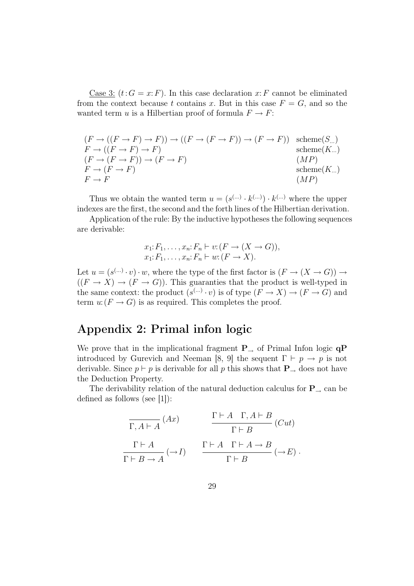Case 3:  $(t:G = x: F)$ . In this case declaration x: F cannot be eliminated from the context because t contains x. But in this case  $F = G$ , and so the wanted term u is a Hilbertian proof of formula  $F \to F$ :

$$
(F \to ((F \to F) \to F)) \to ((F \to (F \to F)) \to (F \to F))
$$
 scheme(S...)  
\n
$$
F \to ((F \to F) \to F)
$$
  
\n
$$
(F \to (F \to F)) \to (F \to F)
$$
  
\n
$$
F \to (F \to F)
$$
  
\n
$$
(MP)
$$
  
\n
$$
(MP)
$$
  
\n
$$
(MP)
$$

Thus we obtain the wanted term  $u = (s^{(\ldots)} \cdot k^{(\ldots)}) \cdot k^{(\ldots)}$  where the upper indexes are the first, the second and the forth lines of the Hilbertian derivation.

Application of the rule: By the inductive hypotheses the following sequences are derivable:

$$
x_1: F_1, \ldots, x_n: F_n \vdash v: (F \to (X \to G)),
$$
  

$$
x_1: F_1, \ldots, x_n: F_n \vdash w: (F \to X).
$$

Let  $u = (s^{(\ldots)} \cdot v) \cdot w$ , where the type of the first factor is  $(F \to (X \to G)) \to$  $((F \to X) \to (F \to G))$ . This guaranties that the product is well-typed in the same context: the product  $(s^{(\dots)} \cdot v)$  is of type  $(F \to X) \to (F \to G)$  and term  $u: (F \to G)$  is as required. This completes the proof.

# Appendix 2: Primal infon logic

We prove that in the implicational fragment  $P_{\rightarrow}$  of Primal Infon logic  $qP$ introduced by Gurevich and Neeman [8, 9] the sequent  $\Gamma \vdash p \rightarrow p$  is not derivable. Since  $p \vdash p$  is derivable for all p this shows that  $P_{\rightarrow}$  does not have the Deduction Property.

The derivability relation of the natural deduction calculus for  $P_{\rightarrow}$  can be defined as follows (see [1]):

$$
\frac{\Gamma \vdash A \quad \Gamma, A \vdash B}{\Gamma \vdash A} (Ax) \qquad \frac{\Gamma \vdash A \quad \Gamma, A \vdash B}{\Gamma \vdash B} (Cut)
$$
\n
$$
\frac{\Gamma \vdash A \quad \Gamma \vdash A \to B}{\Gamma \vdash B \to A} (\to I) \qquad \frac{\Gamma \vdash A \quad \Gamma \vdash A \to B}{\Gamma \vdash B} (\to E) .
$$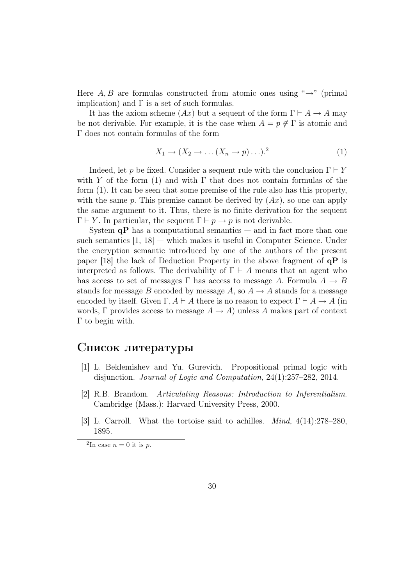Here  $A, B$  are formulas constructed from atomic ones using " $\rightarrow$ " (primal implication) and  $\Gamma$  is a set of such formulas.

It has the axiom scheme  $(Ax)$  but a sequent of the form  $\Gamma \vdash A \to A$  may be not derivable. For example, it is the case when  $A = p \notin \Gamma$  is atomic and Γ does not contain formulas of the form

$$
X_1 \to (X_2 \to \dots (X_n \to p) \dots)^2 \tag{1}
$$

Indeed, let p be fixed. Consider a sequent rule with the conclusion  $\Gamma \vdash Y$ with Y of the form (1) and with  $\Gamma$  that does not contain formulas of the form (1). It can be seen that some premise of the rule also has this property, with the same p. This premise cannot be derived by  $(Ax)$ , so one can apply the same argument to it. Thus, there is no finite derivation for the sequent  $\Gamma \vdash Y$ . In particular, the sequent  $\Gamma \vdash p \rightarrow p$  is not derivable.

System  $\mathbf{q}P$  has a computational semantics — and in fact more than one such semantics  $[1, 18]$  — which makes it useful in Computer Science. Under the encryption semantic introduced by one of the authors of the present paper [18] the lack of Deduction Property in the above fragment of  $\alpha P$  is interpreted as follows. The derivability of  $\Gamma \vdash A$  means that an agent who has access to set of messages  $\Gamma$  has access to message A. Formula  $A \rightarrow B$ stands for message B encoded by message A, so  $A \to A$  stands for a message encoded by itself. Given  $\Gamma, A \vdash A$  there is no reason to expect  $\Gamma \vdash A \rightarrow A$  (in words, Γ provides access to message  $A \to A$ ) unless A makes part of context Γ to begin with.

## Список литературы

- [1] L. Beklemishev and Yu. Gurevich. Propositional primal logic with disjunction. Journal of Logic and Computation, 24(1):257–282, 2014.
- [2] R.B. Brandom. Articulating Reasons: Introduction to Inferentialism. Cambridge (Mass.): Harvard University Press, 2000.
- [3] L. Carroll. What the tortoise said to achilles. Mind, 4(14):278–280, 1895.

<sup>&</sup>lt;sup>2</sup>In case  $n = 0$  it is p.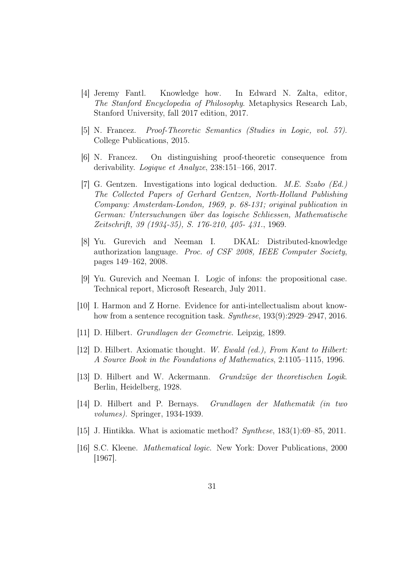- [4] Jeremy Fantl. Knowledge how. In Edward N. Zalta, editor, The Stanford Encyclopedia of Philosophy. Metaphysics Research Lab, Stanford University, fall 2017 edition, 2017.
- [5] N. Francez. Proof-Theoretic Semantics (Studies in Logic, vol. 57). College Publications, 2015.
- [6] N. Francez. On distinguishing proof-theoretic consequence from derivability. Logique et Analyze, 238:151–166, 2017.
- [7] G. Gentzen. Investigations into logical deduction. M.E. Szabo (Ed.) The Collected Papers of Gerhard Gentzen, North-Holland Publishing Company: Amsterdam-London, 1969, p. 68-131; original publication in German: Untersuchungen ¨uber das logische Schliessen, Mathematische Zeitschrift, 39 (1934-35), S. 176-210, 405- 431., 1969.
- [8] Yu. Gurevich and Neeman I. DKAL: Distributed-knowledge authorization language. Proc. of CSF 2008, IEEE Computer Society, pages 149–162, 2008.
- [9] Yu. Gurevich and Neeman I. Logic of infons: the propositional case. Technical report, Microsoft Research, July 2011.
- [10] I. Harmon and Z Horne. Evidence for anti-intellectualism about knowhow from a sentence recognition task. Synthese, 193(9):2929–2947, 2016.
- [11] D. Hilbert. Grundlagen der Geometrie. Leipzig, 1899.
- [12] D. Hilbert. Axiomatic thought. W. Ewald (ed.), From Kant to Hilbert: A Source Book in the Foundations of Mathematics, 2:1105–1115, 1996.
- [13] D. Hilbert and W. Ackermann. *Grundzüge der theoretischen Logik.* Berlin, Heidelberg, 1928.
- [14] D. Hilbert and P. Bernays. Grundlagen der Mathematik (in two volumes). Springer, 1934-1939.
- [15] J. Hintikka. What is axiomatic method? Synthese, 183(1):69–85, 2011.
- [16] S.C. Kleene. Mathematical logic. New York: Dover Publications, 2000 [1967].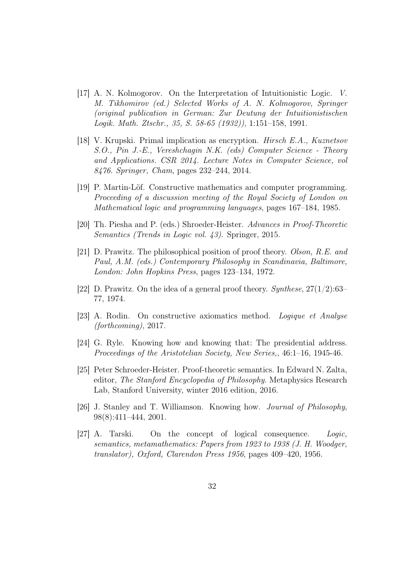- [17] A. N. Kolmogorov. On the Interpretation of Intuitionistic Logic. V. M. Tikhomirov (ed.) Selected Works of A. N. Kolmogorov, Springer (original publication in German: Zur Deutung der Intuitionistischen Logik. Math. Ztschr., 35, S. 58-65 (1932)), 1:151–158, 1991.
- [18] V. Krupski. Primal implication as encryption. Hirsch E.A., Kuznetsov S.O., Pin J.-E., Vereshchagin N.K. (eds) Computer Science - Theory and Applications. CSR 2014. Lecture Notes in Computer Science, vol 8476. Springer, Cham, pages 232–244, 2014.
- [19] P. Martin-Löf. Constructive mathematics and computer programming. Proceeding of a discussion meeting of the Royal Society of London on Mathematical logic and programming languages, pages 167–184, 1985.
- [20] Th. Piesha and P. (eds.) Shroeder-Heister. Advances in Proof-Theoretic Semantics (Trends in Logic vol. 43). Springer, 2015.
- [21] D. Prawitz. The philosophical position of proof theory. Olson, R.E. and Paul, A.M. (eds.) Contemporary Philosophy in Scandinavia, Baltimore, London: John Hopkins Press, pages 123–134, 1972.
- [22] D. Prawitz. On the idea of a general proof theory. Synthese,  $27(1/2):63-$ 77, 1974.
- [23] A. Rodin. On constructive axiomatics method. Logique et Analyse (forthcoming), 2017.
- [24] G. Ryle. Knowing how and knowing that: The presidential address. Proceedings of the Aristotelian Society, New Series,, 46:1–16, 1945-46.
- [25] Peter Schroeder-Heister. Proof-theoretic semantics. In Edward N. Zalta, editor, The Stanford Encyclopedia of Philosophy. Metaphysics Research Lab, Stanford University, winter 2016 edition, 2016.
- [26] J. Stanley and T. Williamson. Knowing how. Journal of Philosophy, 98(8):411–444, 2001.
- [27] A. Tarski. On the concept of logical consequence. Logic, semantics, metamathematics: Papers from 1923 to 1938 (J. H. Woodger, translator), Oxford, Clarendon Press 1956, pages 409–420, 1956.